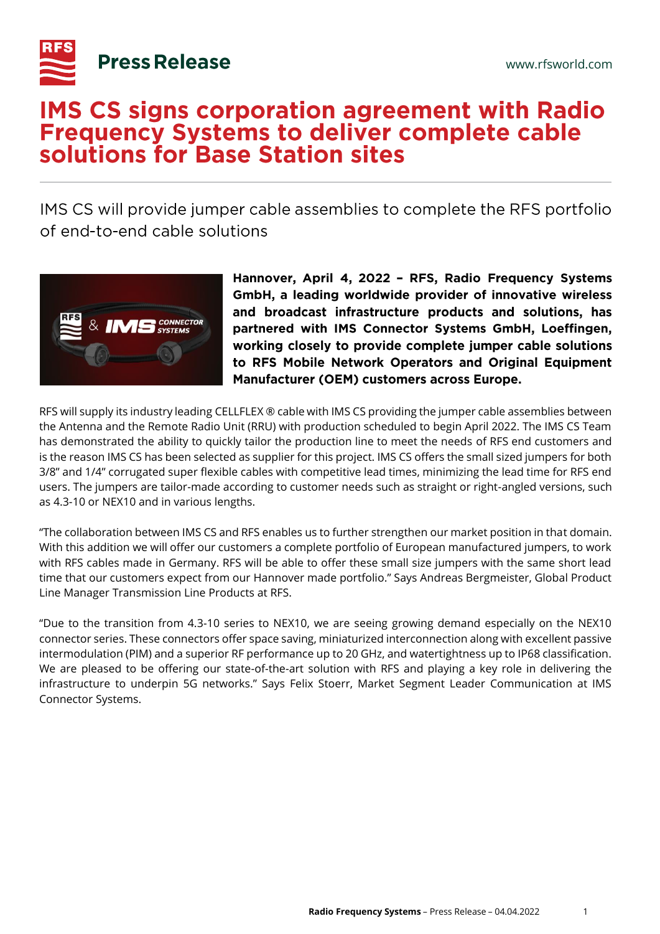

## **IMS CS signs corporation agreement with Radio Frequency Systems to deliver complete cable** solutions for Base Station sites

IMS CS will provide jumper cable assemblies to complete the RFS portfolio of end-to-end cable solutions



Hannover, April 4, 2022 - RFS, Radio Frequency Systems GmbH, a leading worldwide provider of innovative wireless and broadcast infrastructure products and solutions, has partnered with IMS Connector Systems GmbH, Loeffingen, working closely to provide complete jumper cable solutions to RFS Mobile Network Operators and Original Equipment Manufacturer (OEM) customers across Europe.

RFS will supply its industry leading CELLFLEX ® cable with IMS CS providing the jumper cable assemblies between the Antenna and the Remote Radio Unit (RRU) with production scheduled to begin April 2022. The IMS CS Team has demonstrated the ability to quickly tailor the production line to meet the needs of RFS end customers and is the reason IMS CS has been selected as supplier for this project. IMS CS offers the small sized jumpers for both 3/8" and 1/4" corrugated super flexible cables with competitive lead times, minimizing the lead time for RFS end users. The jumpers are tailor-made according to customer needs such as straight or right-angled versions, such as 4.3-10 or NEX10 and in various lengths.

"The collaboration between IMS CS and RFS enables us to further strengthen our market position in that domain. With this addition we will offer our customers a complete portfolio of European manufactured jumpers, to work with RFS cables made in Germany. RFS will be able to offer these small size jumpers with the same short lead time that our customers expect from our Hannover made portfolio." Says Andreas Bergmeister, Global Product Line Manager Transmission Line Products at RFS.

"Due to the transition from 4.3-10 series to NEX10, we are seeing growing demand especially on the NEX10 connector series. These connectors offer space saving, miniaturized interconnection along with excellent passive intermodulation (PIM) and a superior RF performance up to 20 GHz, and watertightness up to IP68 classification. We are pleased to be offering our state-of-the-art solution with RFS and playing a key role in delivering the infrastructure to underpin 5G networks." Says Felix Stoerr, Market Segment Leader Communication at IMS Connector Systems.